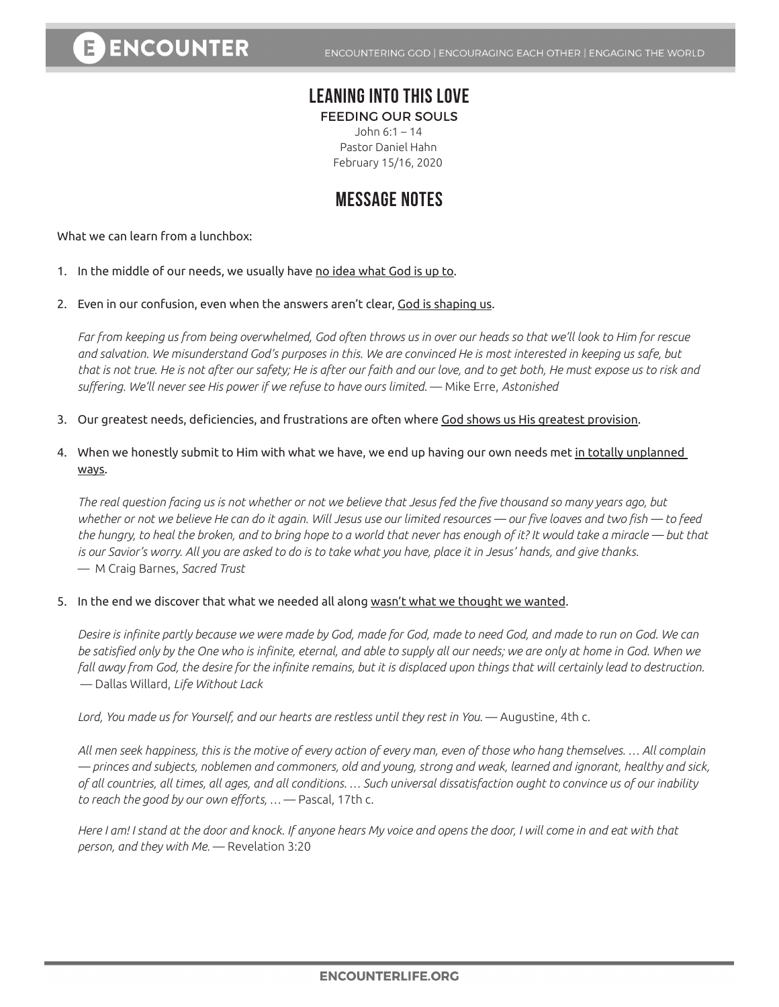## **LEANING INTO THIS LOVE**

FEEDING OUR SOULS John 6:1 – 14

Pastor Daniel Hahn February 15/16, 2020

## **MESSAGE NOTES**

What we can learn from a lunchbox:

- 1. In the middle of our needs, we usually have no idea what God is up to.
- 2. Even in our confusion, even when the answers aren't clear, God is shaping us.

*Far from keeping us from being overwhelmed, God often throws us in over our heads so that we'll look to Him for rescue and salvation. We misunderstand God's purposes in this. We are convinced He is most interested in keeping us safe, but that is not true. He is not after our safety; He is after our faith and our love, and to get both, He must expose us to risk and suffering. We'll never see His power if we refuse to have ours limited.* — Mike Erre, *Astonished* 

- 3. Our greatest needs, deficiencies, and frustrations are often where God shows us His greatest provision.
- 4. When we honestly submit to Him with what we have, we end up having our own needs met in totally unplanned ways.

*The real question facing us is not whether or not we believe that Jesus fed the five thousand so many years ago, but whether or not we believe He can do it again. Will Jesus use our limited resources — our five loaves and two fish — to feed the hungry, to heal the broken, and to bring hope to a world that never has enough of it? It would take a miracle — but that*  is our Savior's worry. All you are asked to do is to take what you have, place it in Jesus' hands, and give thanks. — M Craig Barnes, *Sacred Trust*

5. In the end we discover that what we needed all along wasn't what we thought we wanted.

*Desire is infinite partly because we were made by God, made for God, made to need God, and made to run on God. We can be satisfied only by the One who is infinite, eternal, and able to supply all our needs; we are only at home in God. When we fall away from God, the desire for the infinite remains, but it is displaced upon things that will certainly lead to destruction.* — Dallas Willard, *Life Without Lack*

Lord, You made us for Yourself, and our hearts are restless until they rest in You. — Augustine, 4th c.

*All men seek happiness, this is the motive of every action of every man, even of those who hang themselves. … All complain ― princes and subjects, noblemen and commoners, old and young, strong and weak, learned and ignorant, healthy and sick, of all countries, all times, all ages, and all conditions. … Such universal dissatisfaction ought to convince us of our inability to reach the good by our own efforts, …* — Pascal, 17th c.

*Here I am! I stand at the door and knock. If anyone hears My voice and opens the door, I will come in and eat with that person, and they with Me.* — Revelation 3:20